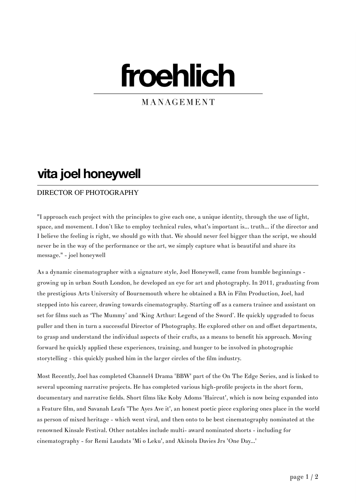# froehlich

MANAGEMENT

## **vita joel honeywell**

#### DIRECTOR OF PHOTOGRAPHY

"I approach each project with the principles to give each one, a unique identity, through the use of light, space, and movement. I don't like to employ technical rules, what's important is... truth... if the director and I believe the feeling is right, we should go with that. We should never feel bigger than the script, we should never be in the way of the performance or the art, we simply capture what is beautiful and share its message." - joel honeywell

As a dynamic cinematographer with a signature style, Joel Honeywell, came from humble beginnings growing up in urban South London, he developed an eye for art and photography. In 2011, graduating from the prestigious Arts University of Bournemouth where he obtained a BA in Film Production, Joel, had stepped into his career, drawing towards cinematography. Starting off as a camera trainee and assistant on set for films such as 'The Mummy' and 'King Arthur: Legend of the Sword'. He quickly upgraded to focus puller and then in turn a successful Director of Photography. He explored other on and offset departments, to grasp and understand the individual aspects of their crafts, as a means to benefit his approach. Moving forward he quickly applied these experiences, training, and hunger to be involved in photographic storytelling - this quickly pushed him in the larger circles of the film industry.

Most Recently, Joel has completed Channel4 Drama 'BBW' part of the On The Edge Series, and is linked to several upcoming narrative projects. He has completed various high-profile projects in the short form, documentary and narrative fields. Short films like Koby Adoms 'Haircut', which is now being expanded into a Feature film, and Savanah Leafs 'The Ayes Ave it', an honest poetic piece exploring ones place in the world as person of mixed heritage - which went viral, and then onto to be best cinematography nominated at the renowned Kinsale Festival. Other notables include multi- award nominated shorts - including for cinematography - for Remi Laudats 'Mi o Leku', and Akinola Davies Jrs 'One Day...'